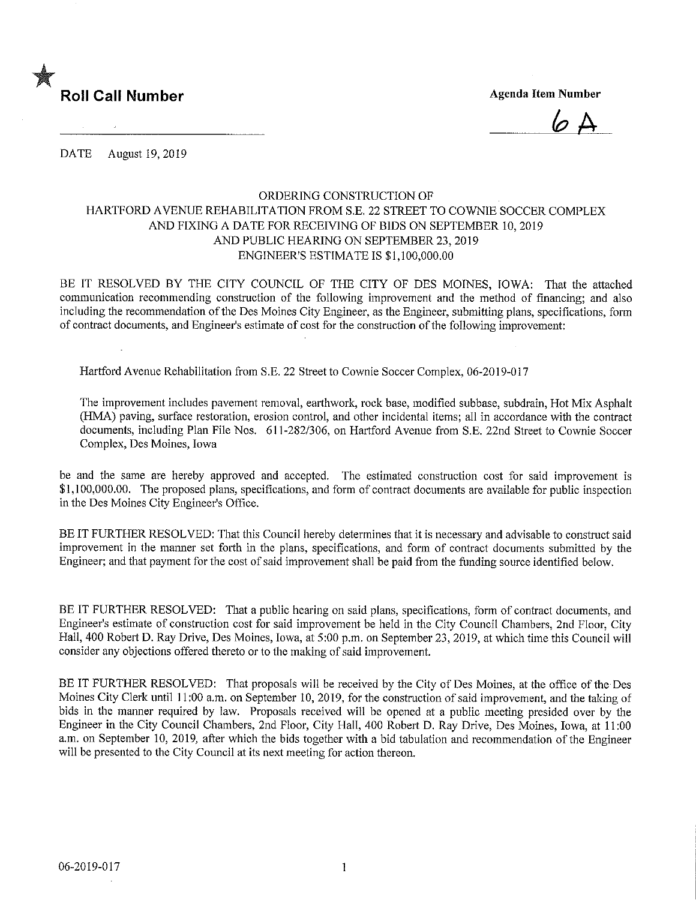

 $6A$ 

DATE August 19, 2019

## ORDERING CONSTRUCTION OF HARTFORD AVENUE REHABILITATION FROM S.E. 22 STREET TO COWNIE SOCCER COMPLEX AND FIXING A DATE FOR RECEIVING OF BIDS ON SEPTEMBER 10,2019 AND PUBLIC HEARING ON SEPTEMBER 23,2019 ENGINEER'S ESTIMATE IS \$1,100,000.00

BE IT RESOLVED BY THE CITY COUNCIL OF THE CITY OF DES MOINES, IOWA: That the attached communication recommending construction of the following improvement and the method of financing; and also including the recommendation of the Des Moines City Engineer, as the Engineer, submitting plans, specifications, form of contract documents, and Engineer's estimate of cost for the construction of the following improvement:

Hartford Avenue Rehabilitation from S.E. 22 Street to Cownie Soccer Complex, 06-2019-017

The improvement includes pavement removal, earthwork, rock base, modified subbase, subdrain. Hot Mix Asphalt (HMA) paving, surface restoration, erosion control, and other incidental items; all in accordance with the contract documents, including Plan File Nos. 611-282/306, on Hartford Avenue from S.E. 22nd Street to Cownie Soccer Complex, Des Moines, Iowa

be and the same are hereby approved and accepted. The estimated construction cost for said improvement is \$1,100,000.00. The proposed plans, specifications, and form of contract documents are available for public inspection in the Des Moines City Engineer's Office.

BE IT FURTHER RESOLVED: That this Council hereby determines that it is necessary and advisable to construct said improvement in the manner set forth in the plans, specifications, and form of contract documents submitted by the Engineer; and that payment for the cost of said improvement shall be paid from the funding source identified below.

BE IT FURTHER RESOLVED: That a public hearing on said plans, specifications, form of contract documents, and Engineer's estimate of construction cost for said improvement be held in the City Council Chambers, 2nd Floor, City Hall, 400 Robert D. Ray Drive, Des Moines, Iowa, at 5:00 p.m. on September 23, 2019, at which time this Council will consider any objections offered thereto or to the making of said improvement.

BE IT FURTHER RESOLVED: That proposals will be received by the City of Des Moines, at the office of the Des Moines City Clerk until 11:00 a.m. on September 10, 2019, for the construction of said improvement, and the taking of bids in the manner required by law. Proposals received will be opened at a public meeting presided over by the Engineer in the City Council Chambers, 2nd Floor, City Hall, 400 Robert D. Ray Drive, Des Moines, Iowa, at 11:00 a.m. on September 10, 2019, after which the bids together with a bid tabulation and recommendation of the Engineer will be presented to the City Council at its next meeting for action thereon.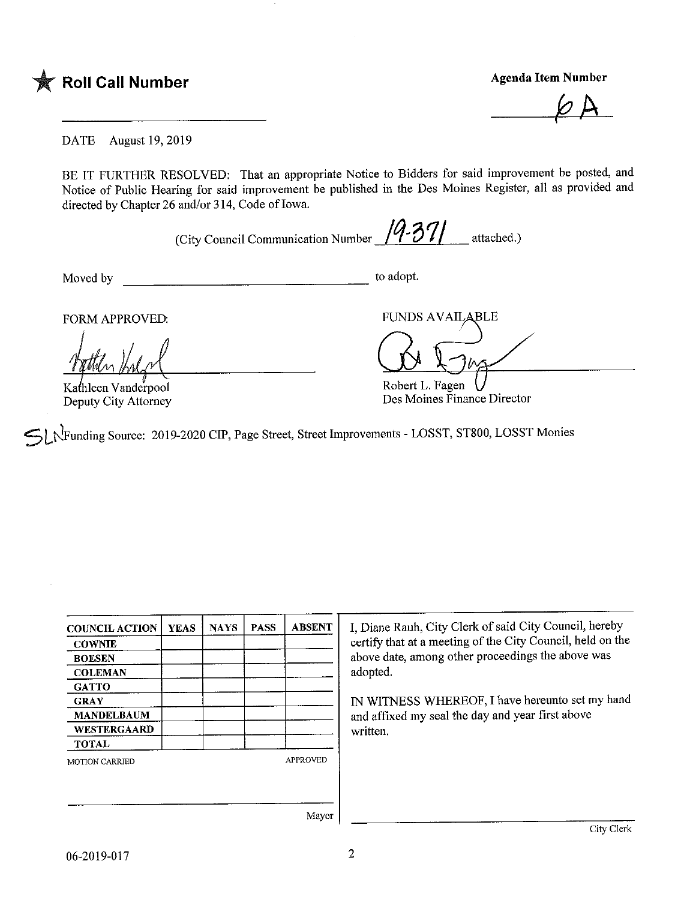

 $\varphi$   $\land$ 

DATE August 19, 2019

BE IT FURTHER RESOLVED: That an appropriate Notice to Bidders for said improvement be posted, and Notice of Public Hearing for said improvement be published in the Des Momes Register, all as provided and directed by Chapter 26 and/or 314, Code of Iowa.

(City Council Communication Number  $\frac{14-371}{1}$  attached.)

Moved by to adopt.

Kathleen Vanderpool Deputy City Attorney

FORM APPROVED: FUNDS AVAILABLE

Robert L. Fagen Des Moines Finance Director

^[j<Funding Source: 2019-2020 CIP, Page Street, Street Improvements - LOSST, ST800, LOSST Monies

| <b>COUNCIL ACTION</b> | <b>YEAS</b> | <b>NAYS</b> | <b>PASS</b>     | <b>ABSENT</b> |  |
|-----------------------|-------------|-------------|-----------------|---------------|--|
| <b>COWNIE</b>         |             |             |                 |               |  |
| <b>BOESEN</b>         |             |             |                 |               |  |
| <b>COLEMAN</b>        |             |             |                 |               |  |
| <b>GATTO</b>          |             |             |                 |               |  |
| <b>GRAY</b>           |             |             |                 |               |  |
| <b>MANDELBAUM</b>     |             |             |                 |               |  |
| WESTERGAARD           |             |             |                 |               |  |
| <b>TOTAL</b>          |             |             |                 |               |  |
| <b>MOTION CARRIED</b> |             |             | <b>APPROVED</b> |               |  |
|                       |             |             |                 |               |  |
|                       |             |             |                 |               |  |
|                       |             |             |                 |               |  |

I, Diane Rauh, City Clerk of said City Council, hereby certify that at a meeting of the City Council, held on the above date, among other proceedings the above was adopted.

IN WITNESS WHEREOF, I have hereunto set my hand and affixed my seal the day and year first above written.

Mayor